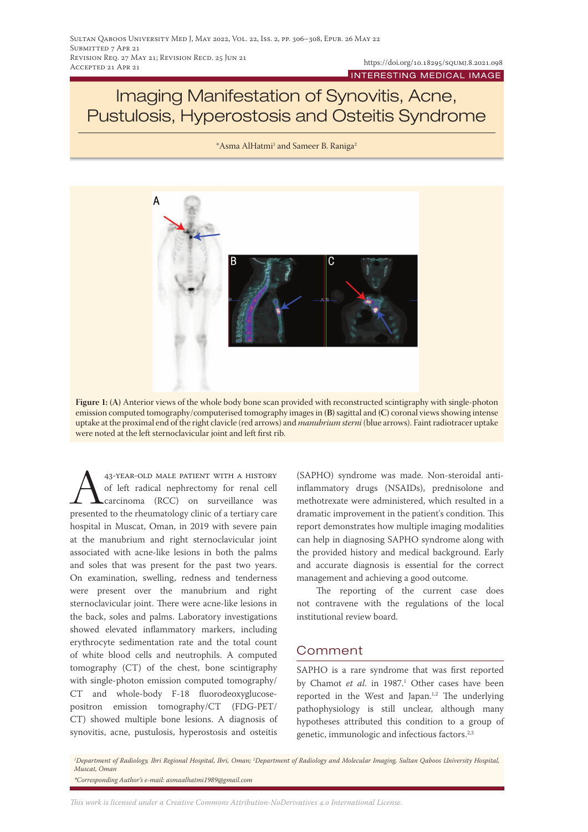## Imaging Manifestation of Synovitis, Acne, Pustulosis, Hyperostosis and Osteitis Syndrome

\*Asma AlHatmi<sup>1</sup> and Sameer B. Raniga<sup>2</sup>



**Figure 1: (A)** Anterior views of the whole body bone scan provided with reconstructed scintigraphy with single-photon emission computed tomography/computerised tomography images in **(B)** sagittal and **(C)** coronal views showing intense uptake at the proximal end of the right clavicle (red arrows) and *manubrium sterni* (blue arrows). Faint radiotracer uptake were noted at the left sternoclavicular joint and left first rib.

<sup>43-YEAR-OLD MALE PATIENT WITH A HISTORY</sup><br>of left radical nephrectomy for renal cell<br>carcinoma (RCC) on surveillance was<br>presented to the rheumatology clinic of a tertiary care of left radical nephrectomy for renal cell carcinoma (RCC) on surveillance was presented to the rheumatology clinic of a tertiary care hospital in Muscat, Oman, in 2019 with severe pain at the manubrium and right sternoclavicular joint associated with acne-like lesions in both the palms and soles that was present for the past two years. On examination, swelling, redness and tenderness were present over the manubrium and right sternoclavicular joint. There were acne-like lesions in the back, soles and palms. Laboratory investigations showed elevated inflammatory markers, including erythrocyte sedimentation rate and the total count of white blood cells and neutrophils. A computed tomography (CT) of the chest, bone scintigraphy with single-photon emission computed tomography/ CT and whole-body F-18 fluorodeoxyglucosepositron emission tomography/CT (FDG-PET/ CT) showed multiple bone lesions. A diagnosis of synovitis, acne, pustulosis, hyperostosis and osteitis

(SAPHO) syndrome was made. Non-steroidal antiinflammatory drugs (NSAIDs), prednisolone and methotrexate were administered, which resulted in a dramatic improvement in the patient's condition. This report demonstrates how multiple imaging modalities can help in diagnosing SAPHO syndrome along with the provided history and medical background. Early and accurate diagnosis is essential for the correct management and achieving a good outcome.

The reporting of the current case does not contravene with the regulations of the local institutional review board.

## Comment

SAPHO is a rare syndrome that was first reported by Chamot *et al.* in 1987.<sup>1</sup> Other cases have been reported in the West and Japan.<sup>1,2</sup> The underlying pathophysiology is still unclear, although many hypotheses attributed this condition to a group of genetic, immunologic and infectious factors.2,3

*1 Department of Radiology, Ibri Regional Hospital, Ibri, Oman; 2 Department of Radiology and Molecular Imaging, Sultan Qaboos University Hospital, Muscat, Oman \*Corresponding Author's e-mail: asmaalhatmi1989@gmail.com*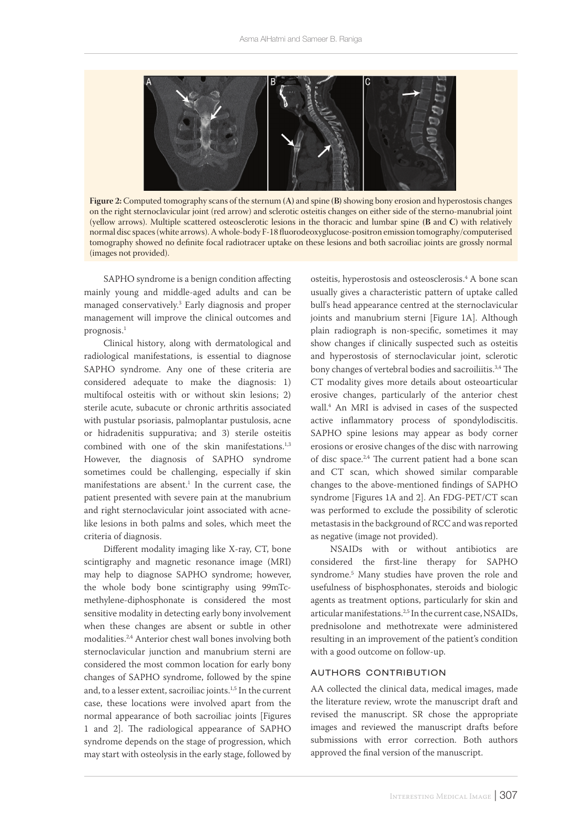

**Figure 2:** Computed tomography scans of the sternum **(A)** and spine **(B)** showing bony erosion and hyperostosis changes on the right sternoclavicular joint (red arrow) and sclerotic osteitis changes on either side of the sterno-manubrial joint (yellow arrows). Multiple scattered osteosclerotic lesions in the thoracic and lumbar spine **(B** and **C)** with relatively normal disc spaces (white arrows). A whole-body F-18 fluorodeoxyglucose-positron emission tomography/computerised tomography showed no definite focal radiotracer uptake on these lesions and both sacroiliac joints are grossly normal (images not provided).

SAPHO syndrome is a benign condition affecting mainly young and middle-aged adults and can be managed conservatively.3 Early diagnosis and proper management will improve the clinical outcomes and prognosis.1

Clinical history, along with dermatological and radiological manifestations, is essential to diagnose SAPHO syndrome. Any one of these criteria are considered adequate to make the diagnosis: 1) multifocal osteitis with or without skin lesions; 2) sterile acute, subacute or chronic arthritis associated with pustular psoriasis, palmoplantar pustulosis, acne or hidradenitis suppurativa; and 3) sterile osteitis combined with one of the skin manifestations. $1,3$ However, the diagnosis of SAPHO syndrome sometimes could be challenging, especially if skin manifestations are absent. $\frac{1}{1}$  In the current case, the patient presented with severe pain at the manubrium and right sternoclavicular joint associated with acnelike lesions in both palms and soles, which meet the criteria of diagnosis.

Different modality imaging like X-ray, CT, bone scintigraphy and magnetic resonance image (MRI) may help to diagnose SAPHO syndrome; however, the whole body bone scintigraphy using 99mTcmethylene-diphosphonate is considered the most sensitive modality in detecting early bony involvement when these changes are absent or subtle in other modalities.2,4 Anterior chest wall bones involving both sternoclavicular junction and manubrium sterni are considered the most common location for early bony changes of SAPHO syndrome, followed by the spine and, to a lesser extent, sacroiliac joints.<sup>1,5</sup> In the current case, these locations were involved apart from the normal appearance of both sacroiliac joints [Figures 1 and 2]. The radiological appearance of SAPHO syndrome depends on the stage of progression, which may start with osteolysis in the early stage, followed by

osteitis, hyperostosis and osteosclerosis.4 A bone scan usually gives a characteristic pattern of uptake called bull's head appearance centred at the sternoclavicular joints and manubrium sterni [Figure 1A]. Although plain radiograph is non-specific, sometimes it may show changes if clinically suspected such as osteitis and hyperostosis of sternoclavicular joint, sclerotic bony changes of vertebral bodies and sacroiliitis.3,4 The CT modality gives more details about osteoarticular erosive changes, particularly of the anterior chest wall.4 An MRI is advised in cases of the suspected active inflammatory process of spondylodiscitis. SAPHO spine lesions may appear as body corner erosions or erosive changes of the disc with narrowing of disc space.2,4 The current patient had a bone scan and CT scan, which showed similar comparable changes to the above-mentioned findings of SAPHO syndrome [Figures 1A and 2]. An FDG-PET/CT scan was performed to exclude the possibility of sclerotic metastasis in the background of RCC and was reported as negative (image not provided).

NSAIDs with or without antibiotics are considered the first-line therapy for SAPHO syndrome.5 Many studies have proven the role and usefulness of bisphosphonates, steroids and biologic agents as treatment options, particularly for skin and articular manifestations.<sup>2,5</sup> In the current case, NSAIDs, prednisolone and methotrexate were administered resulting in an improvement of the patient's condition with a good outcome on follow-up.

## authors contribution

AA collected the clinical data, medical images, made the literature review, wrote the manuscript draft and revised the manuscript. SR chose the appropriate images and reviewed the manuscript drafts before submissions with error correction. Both authors approved the final version of the manuscript.